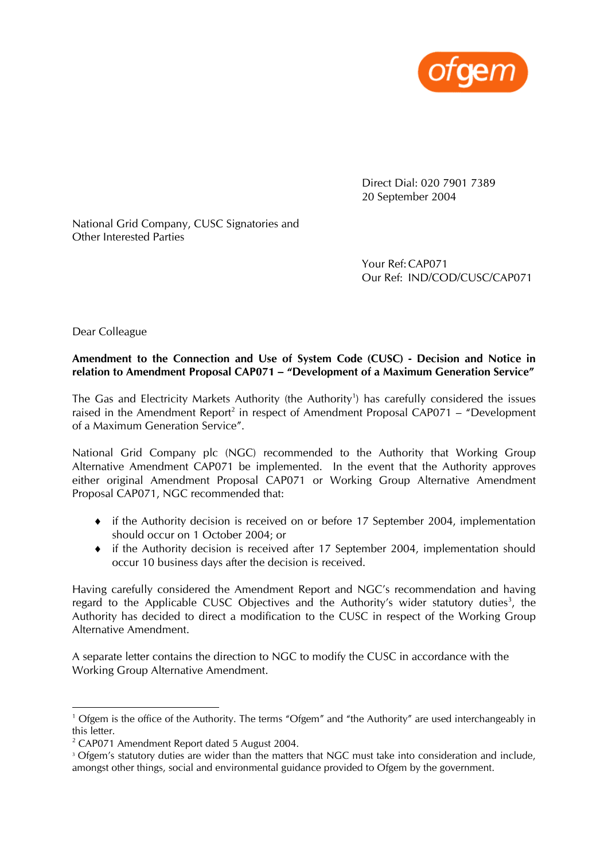

 Direct Dial: 020 7901 7389 20 September 2004

National Grid Company, CUSC Signatories and Other Interested Parties

> Your Ref: CAP071 Our Ref: IND/COD/CUSC/CAP071

Dear Colleague

#### **Amendment to the Connection and Use of System Code (CUSC) - Decision and Notice in relation to Amendment Proposal CAP071 – "Development of a Maximum Generation Service"**

The Gas and Electricity Markets Authority (the Authority<sup>1</sup>) has carefully considered the issues raised in the Amendment Report<sup>2</sup> in respect of Amendment Proposal CAP071 – "Development of a Maximum Generation Service".

National Grid Company plc (NGC) recommended to the Authority that Working Group Alternative Amendment CAP071 be implemented. In the event that the Authority approves either original Amendment Proposal CAP071 or Working Group Alternative Amendment Proposal CAP071, NGC recommended that:

- ♦ if the Authority decision is received on or before 17 September 2004, implementation should occur on 1 October 2004; or
- ♦ if the Authority decision is received after 17 September 2004, implementation should occur 10 business days after the decision is received.

Having carefully considered the Amendment Report and NGC's recommendation and having regard to the Applicable CUSC Objectives and the Authority's wider statutory duties<sup>3</sup>, the Authority has decided to direct a modification to the CUSC in respect of the Working Group Alternative Amendment.

A separate letter contains the direction to NGC to modify the CUSC in accordance with the Working Group Alternative Amendment.

<sup>&</sup>lt;sup>1</sup> Ofgem is the office of the Authority. The terms "Ofgem" and "the Authority" are used interchangeably in this letter.

<sup>2</sup> CAP071 Amendment Report dated 5 August 2004.

<sup>&</sup>lt;sup>3</sup> Ofgem's statutory duties are wider than the matters that NGC must take into consideration and include, amongst other things, social and environmental guidance provided to Ofgem by the government.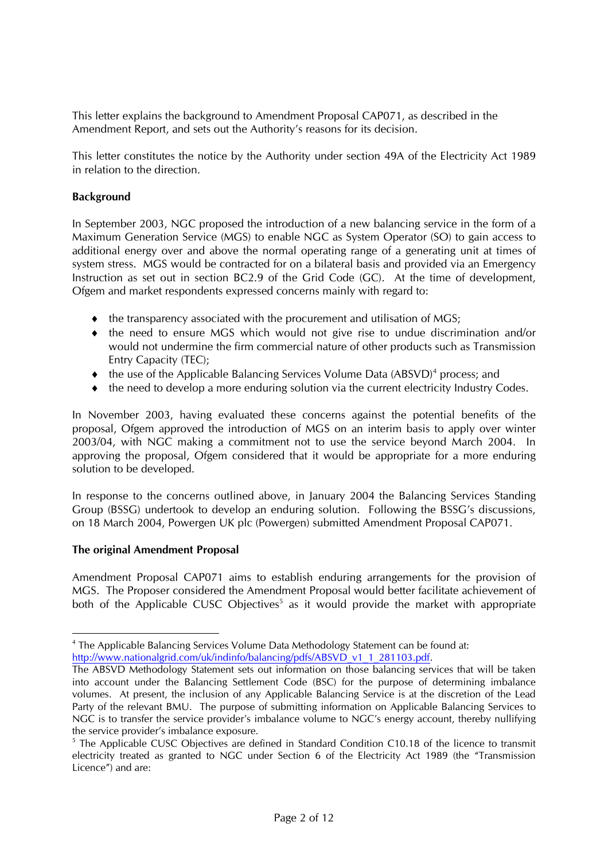This letter explains the background to Amendment Proposal CAP071, as described in the Amendment Report, and sets out the Authority's reasons for its decision.

This letter constitutes the notice by the Authority under section 49A of the Electricity Act 1989 in relation to the direction.

#### **Background**

In September 2003, NGC proposed the introduction of a new balancing service in the form of a Maximum Generation Service (MGS) to enable NGC as System Operator (SO) to gain access to additional energy over and above the normal operating range of a generating unit at times of system stress. MGS would be contracted for on a bilateral basis and provided via an Emergency Instruction as set out in section BC2.9 of the Grid Code (GC). At the time of development, Ofgem and market respondents expressed concerns mainly with regard to:

- ♦ the transparency associated with the procurement and utilisation of MGS;
- ♦ the need to ensure MGS which would not give rise to undue discrimination and/or would not undermine the firm commercial nature of other products such as Transmission Entry Capacity (TEC);
- ◆ the use of the Applicable Balancing Services Volume Data (ABSVD)<sup>4</sup> process; and
- ♦ the need to develop a more enduring solution via the current electricity Industry Codes.

In November 2003, having evaluated these concerns against the potential benefits of the proposal, Ofgem approved the introduction of MGS on an interim basis to apply over winter 2003/04, with NGC making a commitment not to use the service beyond March 2004. In approving the proposal, Ofgem considered that it would be appropriate for a more enduring solution to be developed.

In response to the concerns outlined above, in January 2004 the Balancing Services Standing Group (BSSG) undertook to develop an enduring solution. Following the BSSG's discussions, on 18 March 2004, Powergen UK plc (Powergen) submitted Amendment Proposal CAP071.

# **The original Amendment Proposal**

Amendment Proposal CAP071 aims to establish enduring arrangements for the provision of MGS. The Proposer considered the Amendment Proposal would better facilitate achievement of both of the Applicable CUSC Objectives<sup>5</sup> as it would provide the market with appropriate

<sup>&</sup>lt;sup>4</sup> The Applicable Balancing Services Volume Data Methodology Statement can be found at: http://www.nationalgrid.com/uk/indinfo/balancing/pdfs/ABSVD\_v1\_1\_281103.pdf.

The ABSVD Methodology Statement sets out information on those balancing services that will be taken into account under the Balancing Settlement Code (BSC) for the purpose of determining imbalance volumes. At present, the inclusion of any Applicable Balancing Service is at the discretion of the Lead Party of the relevant BMU. The purpose of submitting information on Applicable Balancing Services to NGC is to transfer the service provider's imbalance volume to NGC's energy account, thereby nullifying the service provider's imbalance exposure.

<sup>&</sup>lt;sup>5</sup> The Applicable CUSC Objectives are defined in Standard Condition C10.18 of the licence to transmit electricity treated as granted to NGC under Section 6 of the Electricity Act 1989 (the "Transmission Licence") and are: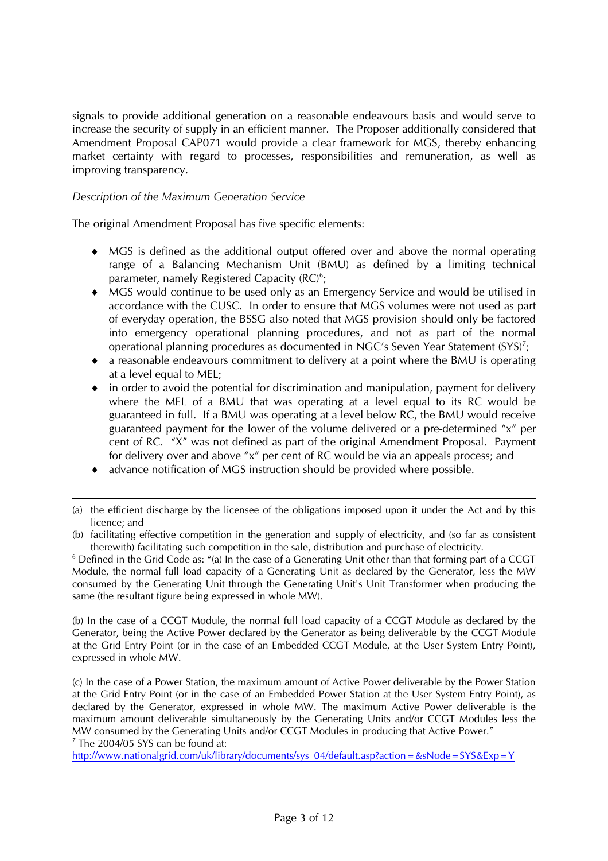signals to provide additional generation on a reasonable endeavours basis and would serve to increase the security of supply in an efficient manner. The Proposer additionally considered that Amendment Proposal CAP071 would provide a clear framework for MGS, thereby enhancing market certainty with regard to processes, responsibilities and remuneration, as well as improving transparency.

# *Description of the Maximum Generation Service*

 $\overline{a}$ 

The original Amendment Proposal has five specific elements:

- ♦ MGS is defined as the additional output offered over and above the normal operating range of a Balancing Mechanism Unit (BMU) as defined by a limiting technical parameter, namely Registered Capacity  $(RC)^6$ ;
- ♦ MGS would continue to be used only as an Emergency Service and would be utilised in accordance with the CUSC. In order to ensure that MGS volumes were not used as part of everyday operation, the BSSG also noted that MGS provision should only be factored into emergency operational planning procedures, and not as part of the normal operational planning procedures as documented in NGC's Seven Year Statement  $(SYS)^7$ ;
- ♦ a reasonable endeavours commitment to delivery at a point where the BMU is operating at a level equal to MEL;
- ♦ in order to avoid the potential for discrimination and manipulation, payment for delivery where the MEL of a BMU that was operating at a level equal to its RC would be guaranteed in full. If a BMU was operating at a level below RC, the BMU would receive guaranteed payment for the lower of the volume delivered or a pre-determined "x" per cent of RC. "X" was not defined as part of the original Amendment Proposal. Payment for delivery over and above "x" per cent of RC would be via an appeals process; and
- ♦ advance notification of MGS instruction should be provided where possible.

(b) In the case of a CCGT Module, the normal full load capacity of a CCGT Module as declared by the Generator, being the Active Power declared by the Generator as being deliverable by the CCGT Module at the Grid Entry Point (or in the case of an Embedded CCGT Module, at the User System Entry Point), expressed in whole MW.

(c) In the case of a Power Station, the maximum amount of Active Power deliverable by the Power Station at the Grid Entry Point (or in the case of an Embedded Power Station at the User System Entry Point), as declared by the Generator, expressed in whole MW. The maximum Active Power deliverable is the maximum amount deliverable simultaneously by the Generating Units and/or CCGT Modules less the MW consumed by the Generating Units and/or CCGT Modules in producing that Active Power."  $7$  The 2004/05 SYS can be found at:

http://www.nationalgrid.com/uk/library/documents/sys\_04/default.asp?action=&sNode=SYS&Exp=Y

<sup>(</sup>a) the efficient discharge by the licensee of the obligations imposed upon it under the Act and by this licence; and

<sup>(</sup>b) facilitating effective competition in the generation and supply of electricity, and (so far as consistent therewith) facilitating such competition in the sale, distribution and purchase of electricity. 6

 $6$  Defined in the Grid Code as:  $\degree$  (a) In the case of a Generating Unit other than that forming part of a CCGT Module, the normal full load capacity of a Generating Unit as declared by the Generator, less the MW consumed by the Generating Unit through the Generating Unit's Unit Transformer when producing the same (the resultant figure being expressed in whole MW).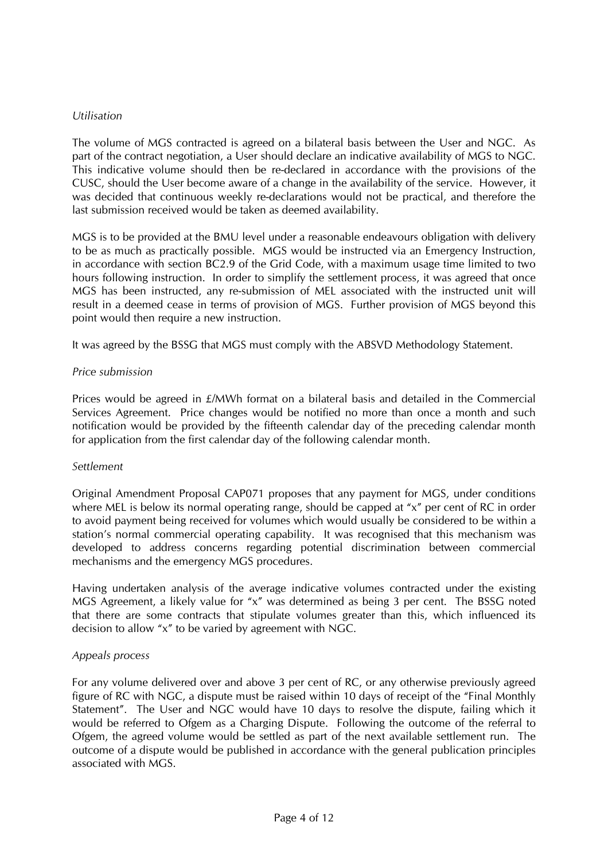#### *Utilisation*

The volume of MGS contracted is agreed on a bilateral basis between the User and NGC. As part of the contract negotiation, a User should declare an indicative availability of MGS to NGC. This indicative volume should then be re-declared in accordance with the provisions of the CUSC, should the User become aware of a change in the availability of the service. However, it was decided that continuous weekly re-declarations would not be practical, and therefore the last submission received would be taken as deemed availability.

MGS is to be provided at the BMU level under a reasonable endeavours obligation with delivery to be as much as practically possible. MGS would be instructed via an Emergency Instruction, in accordance with section BC2.9 of the Grid Code, with a maximum usage time limited to two hours following instruction. In order to simplify the settlement process, it was agreed that once MGS has been instructed, any re-submission of MEL associated with the instructed unit will result in a deemed cease in terms of provision of MGS. Further provision of MGS beyond this point would then require a new instruction.

It was agreed by the BSSG that MGS must comply with the ABSVD Methodology Statement.

#### *Price submission*

Prices would be agreed in £/MWh format on a bilateral basis and detailed in the Commercial Services Agreement. Price changes would be notified no more than once a month and such notification would be provided by the fifteenth calendar day of the preceding calendar month for application from the first calendar day of the following calendar month.

#### *Settlement*

Original Amendment Proposal CAP071 proposes that any payment for MGS, under conditions where MEL is below its normal operating range, should be capped at "x" per cent of RC in order to avoid payment being received for volumes which would usually be considered to be within a station's normal commercial operating capability. It was recognised that this mechanism was developed to address concerns regarding potential discrimination between commercial mechanisms and the emergency MGS procedures.

Having undertaken analysis of the average indicative volumes contracted under the existing MGS Agreement, a likely value for "x" was determined as being 3 per cent. The BSSG noted that there are some contracts that stipulate volumes greater than this, which influenced its decision to allow "x" to be varied by agreement with NGC.

#### *Appeals process*

For any volume delivered over and above 3 per cent of RC, or any otherwise previously agreed figure of RC with NGC, a dispute must be raised within 10 days of receipt of the "Final Monthly Statement". The User and NGC would have 10 days to resolve the dispute, failing which it would be referred to Ofgem as a Charging Dispute. Following the outcome of the referral to Ofgem, the agreed volume would be settled as part of the next available settlement run. The outcome of a dispute would be published in accordance with the general publication principles associated with MGS.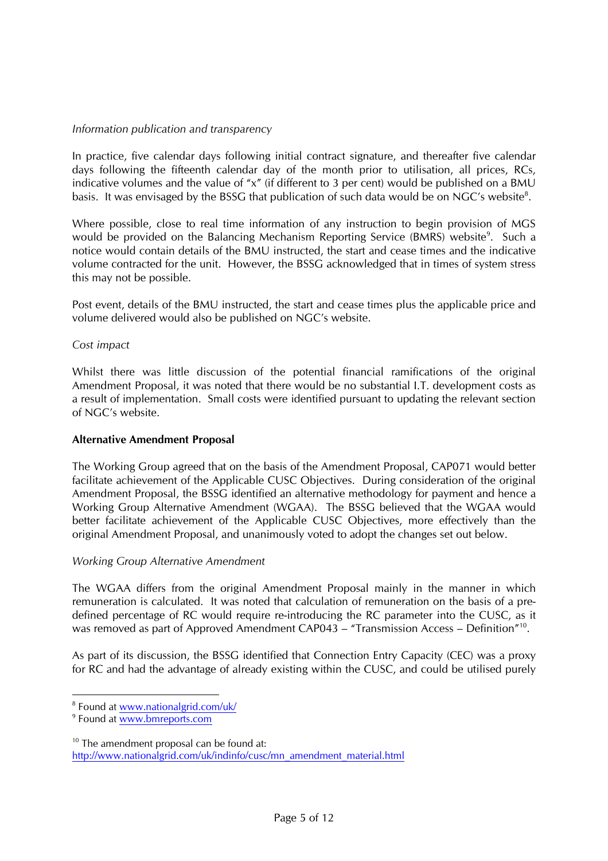# *Information publication and transparency*

In practice, five calendar days following initial contract signature, and thereafter five calendar days following the fifteenth calendar day of the month prior to utilisation, all prices, RCs, indicative volumes and the value of " $x''$  (if different to 3 per cent) would be published on a BMU basis. It was envisaged by the BSSG that publication of such data would be on NGC's website<sup>8</sup>.

Where possible, close to real time information of any instruction to begin provision of MGS would be provided on the Balancing Mechanism Reporting Service (BMRS) website<sup>9</sup>. Such a notice would contain details of the BMU instructed, the start and cease times and the indicative volume contracted for the unit. However, the BSSG acknowledged that in times of system stress this may not be possible.

Post event, details of the BMU instructed, the start and cease times plus the applicable price and volume delivered would also be published on NGC's website.

# *Cost impact*

Whilst there was little discussion of the potential financial ramifications of the original Amendment Proposal, it was noted that there would be no substantial I.T. development costs as a result of implementation. Small costs were identified pursuant to updating the relevant section of NGC's website.

# **Alternative Amendment Proposal**

The Working Group agreed that on the basis of the Amendment Proposal, CAP071 would better facilitate achievement of the Applicable CUSC Objectives. During consideration of the original Amendment Proposal, the BSSG identified an alternative methodology for payment and hence a Working Group Alternative Amendment (WGAA). The BSSG believed that the WGAA would better facilitate achievement of the Applicable CUSC Objectives, more effectively than the original Amendment Proposal, and unanimously voted to adopt the changes set out below.

# *Working Group Alternative Amendment*

The WGAA differs from the original Amendment Proposal mainly in the manner in which remuneration is calculated. It was noted that calculation of remuneration on the basis of a predefined percentage of RC would require re-introducing the RC parameter into the CUSC, as it was removed as part of Approved Amendment CAP043 – "Transmission Access – Definition"<sup>10</sup>.

As part of its discussion, the BSSG identified that Connection Entry Capacity (CEC) was a proxy for RC and had the advantage of already existing within the CUSC, and could be utilised purely

<sup>&</sup>lt;sup>8</sup> Found at www.nationalgrid.com/uk/

<sup>&</sup>lt;sup>9</sup> Found at www.bmreports.com

<sup>&</sup>lt;sup>10</sup> The amendment proposal can be found at: http://www.nationalgrid.com/uk/indinfo/cusc/mn\_amendment\_material.html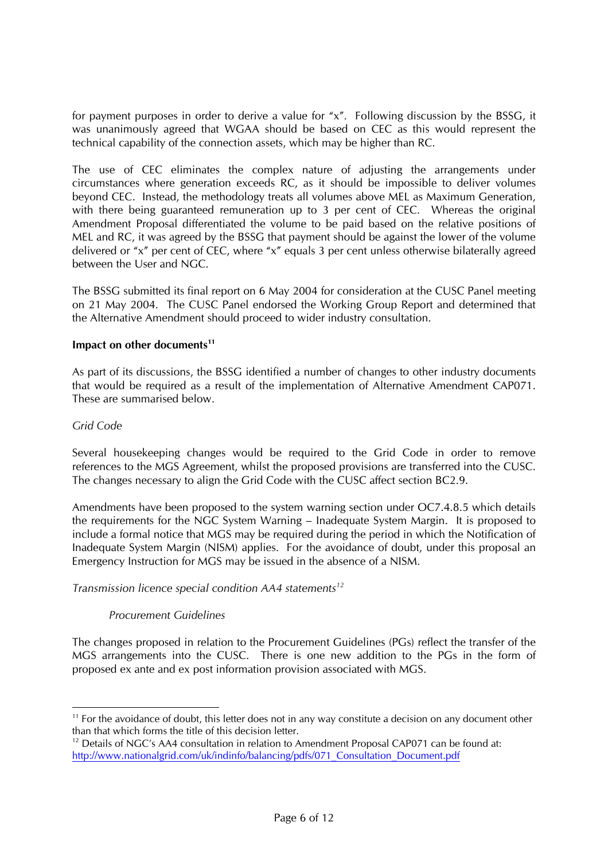for payment purposes in order to derive a value for "x". Following discussion by the BSSG, it was unanimously agreed that WGAA should be based on CEC as this would represent the technical capability of the connection assets, which may be higher than RC.

The use of CEC eliminates the complex nature of adjusting the arrangements under circumstances where generation exceeds RC, as it should be impossible to deliver volumes beyond CEC. Instead, the methodology treats all volumes above MEL as Maximum Generation, with there being guaranteed remuneration up to 3 per cent of CEC. Whereas the original Amendment Proposal differentiated the volume to be paid based on the relative positions of MEL and RC, it was agreed by the BSSG that payment should be against the lower of the volume delivered or "x" per cent of CEC, where "x" equals 3 per cent unless otherwise bilaterally agreed between the User and NGC.

The BSSG submitted its final report on 6 May 2004 for consideration at the CUSC Panel meeting on 21 May 2004. The CUSC Panel endorsed the Working Group Report and determined that the Alternative Amendment should proceed to wider industry consultation.

#### Impact on other documents<sup>11</sup>

As part of its discussions, the BSSG identified a number of changes to other industry documents that would be required as a result of the implementation of Alternative Amendment CAP071. These are summarised below.

#### *Grid Code*

Several housekeeping changes would be required to the Grid Code in order to remove references to the MGS Agreement, whilst the proposed provisions are transferred into the CUSC. The changes necessary to align the Grid Code with the CUSC affect section BC2.9.

Amendments have been proposed to the system warning section under OC7.4.8.5 which details the requirements for the NGC System Warning – Inadequate System Margin. It is proposed to include a formal notice that MGS may be required during the period in which the Notification of Inadequate System Margin (NISM) applies. For the avoidance of doubt, under this proposal an Emergency Instruction for MGS may be issued in the absence of a NISM.

#### *Transmission licence special condition AA4 statements<sup>12</sup>*

# *Procurement Guidelines*

The changes proposed in relation to the Procurement Guidelines (PGs) reflect the transfer of the MGS arrangements into the CUSC. There is one new addition to the PGs in the form of proposed ex ante and ex post information provision associated with MGS.

<sup>&</sup>lt;sup>11</sup> For the avoidance of doubt, this letter does not in any way constitute a decision on any document other than that which forms the title of this decision letter.

<sup>&</sup>lt;sup>12</sup> Details of NGC's AA4 consultation in relation to Amendment Proposal CAP071 can be found at: http://www.nationalgrid.com/uk/indinfo/balancing/pdfs/071\_Consultation\_Document.pdf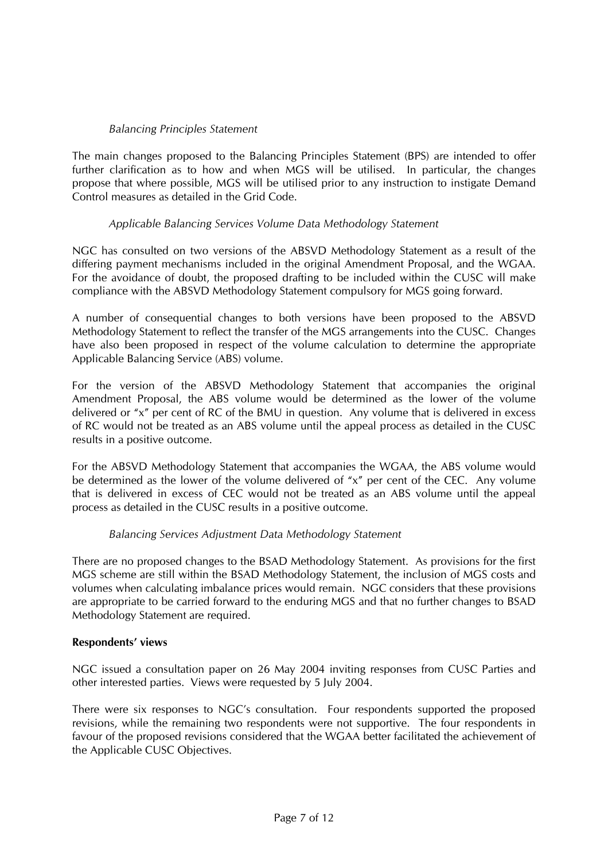# *Balancing Principles Statement*

The main changes proposed to the Balancing Principles Statement (BPS) are intended to offer further clarification as to how and when MGS will be utilised. In particular, the changes propose that where possible, MGS will be utilised prior to any instruction to instigate Demand Control measures as detailed in the Grid Code.

# *Applicable Balancing Services Volume Data Methodology Statement*

NGC has consulted on two versions of the ABSVD Methodology Statement as a result of the differing payment mechanisms included in the original Amendment Proposal, and the WGAA. For the avoidance of doubt, the proposed drafting to be included within the CUSC will make compliance with the ABSVD Methodology Statement compulsory for MGS going forward.

A number of consequential changes to both versions have been proposed to the ABSVD Methodology Statement to reflect the transfer of the MGS arrangements into the CUSC. Changes have also been proposed in respect of the volume calculation to determine the appropriate Applicable Balancing Service (ABS) volume.

For the version of the ABSVD Methodology Statement that accompanies the original Amendment Proposal, the ABS volume would be determined as the lower of the volume delivered or "x" per cent of RC of the BMU in question. Any volume that is delivered in excess of RC would not be treated as an ABS volume until the appeal process as detailed in the CUSC results in a positive outcome.

For the ABSVD Methodology Statement that accompanies the WGAA, the ABS volume would be determined as the lower of the volume delivered of "x" per cent of the CEC. Any volume that is delivered in excess of CEC would not be treated as an ABS volume until the appeal process as detailed in the CUSC results in a positive outcome.

# *Balancing Services Adjustment Data Methodology Statement*

There are no proposed changes to the BSAD Methodology Statement. As provisions for the first MGS scheme are still within the BSAD Methodology Statement, the inclusion of MGS costs and volumes when calculating imbalance prices would remain. NGC considers that these provisions are appropriate to be carried forward to the enduring MGS and that no further changes to BSAD Methodology Statement are required.

# **Respondents' views**

NGC issued a consultation paper on 26 May 2004 inviting responses from CUSC Parties and other interested parties. Views were requested by 5 July 2004.

There were six responses to NGC's consultation. Four respondents supported the proposed revisions, while the remaining two respondents were not supportive. The four respondents in favour of the proposed revisions considered that the WGAA better facilitated the achievement of the Applicable CUSC Objectives.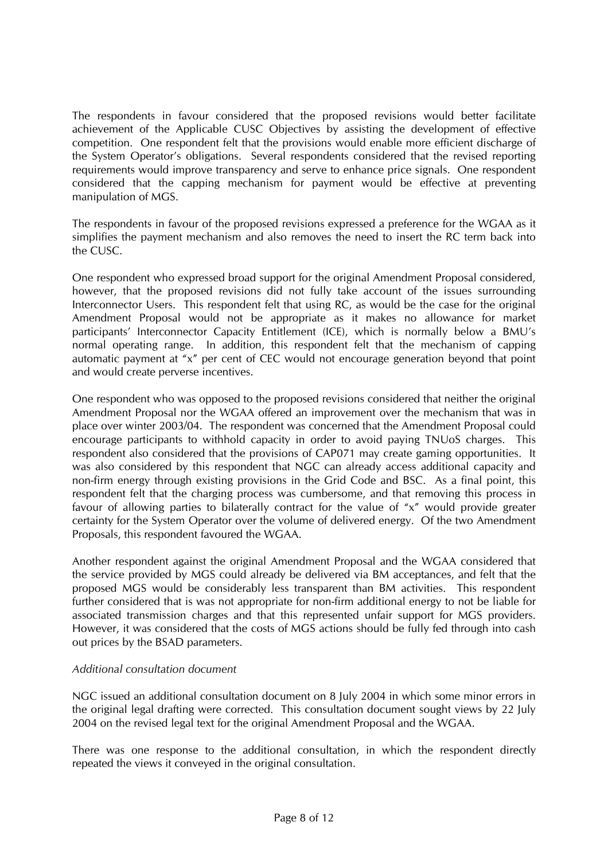The respondents in favour considered that the proposed revisions would better facilitate achievement of the Applicable CUSC Objectives by assisting the development of effective competition. One respondent felt that the provisions would enable more efficient discharge of the System Operator's obligations. Several respondents considered that the revised reporting requirements would improve transparency and serve to enhance price signals. One respondent considered that the capping mechanism for payment would be effective at preventing manipulation of MGS.

The respondents in favour of the proposed revisions expressed a preference for the WGAA as it simplifies the payment mechanism and also removes the need to insert the RC term back into the CUSC.

One respondent who expressed broad support for the original Amendment Proposal considered, however, that the proposed revisions did not fully take account of the issues surrounding Interconnector Users. This respondent felt that using RC, as would be the case for the original Amendment Proposal would not be appropriate as it makes no allowance for market participants' Interconnector Capacity Entitlement (ICE), which is normally below a BMU's normal operating range. In addition, this respondent felt that the mechanism of capping automatic payment at "x" per cent of CEC would not encourage generation beyond that point and would create perverse incentives.

One respondent who was opposed to the proposed revisions considered that neither the original Amendment Proposal nor the WGAA offered an improvement over the mechanism that was in place over winter 2003/04. The respondent was concerned that the Amendment Proposal could encourage participants to withhold capacity in order to avoid paying TNUoS charges. This respondent also considered that the provisions of CAP071 may create gaming opportunities. It was also considered by this respondent that NGC can already access additional capacity and non-firm energy through existing provisions in the Grid Code and BSC. As a final point, this respondent felt that the charging process was cumbersome, and that removing this process in favour of allowing parties to bilaterally contract for the value of "x" would provide greater certainty for the System Operator over the volume of delivered energy. Of the two Amendment Proposals, this respondent favoured the WGAA.

Another respondent against the original Amendment Proposal and the WGAA considered that the service provided by MGS could already be delivered via BM acceptances, and felt that the proposed MGS would be considerably less transparent than BM activities. This respondent further considered that is was not appropriate for non-firm additional energy to not be liable for associated transmission charges and that this represented unfair support for MGS providers. However, it was considered that the costs of MGS actions should be fully fed through into cash out prices by the BSAD parameters.

# *Additional consultation document*

NGC issued an additional consultation document on 8 July 2004 in which some minor errors in the original legal drafting were corrected. This consultation document sought views by 22 July 2004 on the revised legal text for the original Amendment Proposal and the WGAA.

There was one response to the additional consultation, in which the respondent directly repeated the views it conveyed in the original consultation.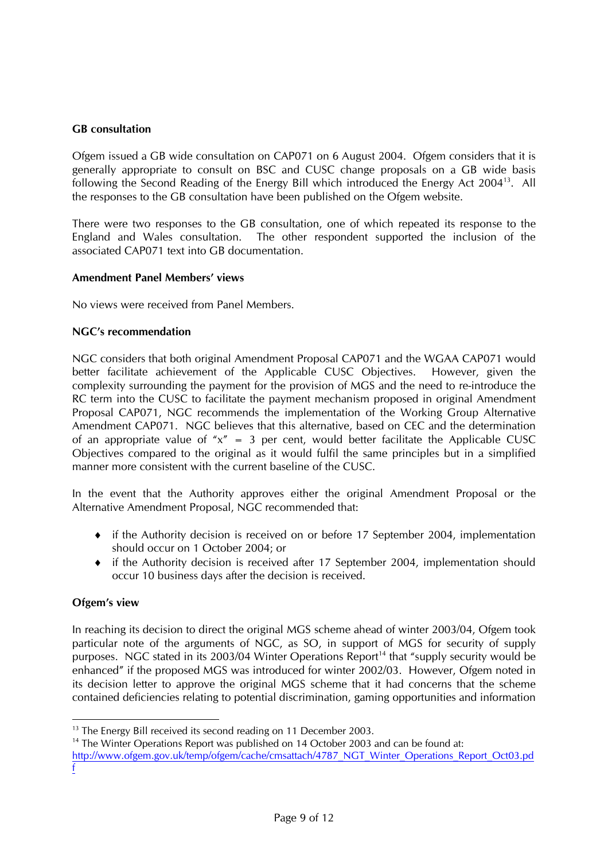# **GB consultation**

Ofgem issued a GB wide consultation on CAP071 on 6 August 2004. Ofgem considers that it is generally appropriate to consult on BSC and CUSC change proposals on a GB wide basis following the Second Reading of the Energy Bill which introduced the Energy Act 200413. All the responses to the GB consultation have been published on the Ofgem website.

There were two responses to the GB consultation, one of which repeated its response to the England and Wales consultation. The other respondent supported the inclusion of the associated CAP071 text into GB documentation.

#### **Amendment Panel Members' views**

No views were received from Panel Members.

#### **NGC's recommendation**

NGC considers that both original Amendment Proposal CAP071 and the WGAA CAP071 would better facilitate achievement of the Applicable CUSC Objectives. However, given the complexity surrounding the payment for the provision of MGS and the need to re-introduce the RC term into the CUSC to facilitate the payment mechanism proposed in original Amendment Proposal CAP071, NGC recommends the implementation of the Working Group Alternative Amendment CAP071. NGC believes that this alternative, based on CEC and the determination of an appropriate value of " $x$ " = 3 per cent, would better facilitate the Applicable CUSC Objectives compared to the original as it would fulfil the same principles but in a simplified manner more consistent with the current baseline of the CUSC.

In the event that the Authority approves either the original Amendment Proposal or the Alternative Amendment Proposal, NGC recommended that:

- ♦ if the Authority decision is received on or before 17 September 2004, implementation should occur on 1 October 2004; or
- ♦ if the Authority decision is received after 17 September 2004, implementation should occur 10 business days after the decision is received.

# **Ofgem's view**

In reaching its decision to direct the original MGS scheme ahead of winter 2003/04, Ofgem took particular note of the arguments of NGC, as SO, in support of MGS for security of supply purposes. NGC stated in its 2003/04 Winter Operations Report<sup>14</sup> that "supply security would be enhanced" if the proposed MGS was introduced for winter 2002/03. However, Ofgem noted in its decision letter to approve the original MGS scheme that it had concerns that the scheme contained deficiencies relating to potential discrimination, gaming opportunities and information

<sup>&</sup>lt;sup>13</sup> The Energy Bill received its second reading on 11 December 2003.

<sup>&</sup>lt;sup>14</sup> The Winter Operations Report was published on 14 October 2003 and can be found at:

http://www.ofgem.gov.uk/temp/ofgem/cache/cmsattach/4787\_NGT\_Winter\_Operations\_Report\_Oct03.pd f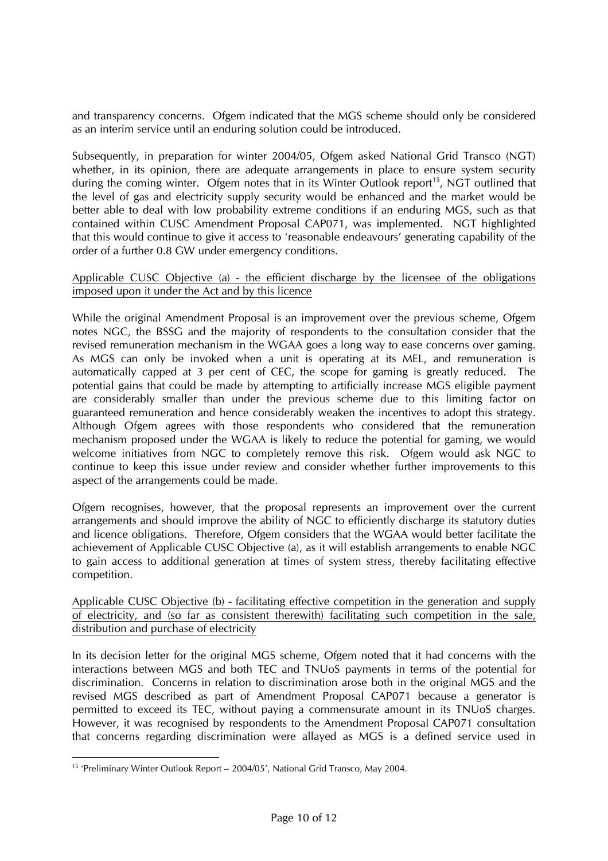and transparency concerns. Ofgem indicated that the MGS scheme should only be considered as an interim service until an enduring solution could be introduced.

Subsequently, in preparation for winter 2004/05, Ofgem asked National Grid Transco (NGT) whether, in its opinion, there are adequate arrangements in place to ensure system security during the coming winter. Ofgem notes that in its Winter Outlook report<sup>15</sup>, NGT outlined that the level of gas and electricity supply security would be enhanced and the market would be better able to deal with low probability extreme conditions if an enduring MGS, such as that contained within CUSC Amendment Proposal CAP071, was implemented. NGT highlighted that this would continue to give it access to 'reasonable endeavours' generating capability of the order of a further 0.8 GW under emergency conditions.

#### Applicable CUSC Objective (a) - the efficient discharge by the licensee of the obligations imposed upon it under the Act and by this licence

While the original Amendment Proposal is an improvement over the previous scheme, Ofgem notes NGC, the BSSG and the majority of respondents to the consultation consider that the revised remuneration mechanism in the WGAA goes a long way to ease concerns over gaming. As MGS can only be invoked when a unit is operating at its MEL, and remuneration is automatically capped at 3 per cent of CEC, the scope for gaming is greatly reduced. The potential gains that could be made by attempting to artificially increase MGS eligible payment are considerably smaller than under the previous scheme due to this limiting factor on guaranteed remuneration and hence considerably weaken the incentives to adopt this strategy. Although Ofgem agrees with those respondents who considered that the remuneration mechanism proposed under the WGAA is likely to reduce the potential for gaming, we would welcome initiatives from NGC to completely remove this risk. Ofgem would ask NGC to continue to keep this issue under review and consider whether further improvements to this aspect of the arrangements could be made.

Ofgem recognises, however, that the proposal represents an improvement over the current arrangements and should improve the ability of NGC to efficiently discharge its statutory duties and licence obligations. Therefore, Ofgem considers that the WGAA would better facilitate the achievement of Applicable CUSC Objective (a), as it will establish arrangements to enable NGC to gain access to additional generation at times of system stress, thereby facilitating effective competition.

Applicable CUSC Objective (b) - facilitating effective competition in the generation and supply of electricity, and (so far as consistent therewith) facilitating such competition in the sale, distribution and purchase of electricity

In its decision letter for the original MGS scheme, Ofgem noted that it had concerns with the interactions between MGS and both TEC and TNUoS payments in terms of the potential for discrimination. Concerns in relation to discrimination arose both in the original MGS and the revised MGS described as part of Amendment Proposal CAP071 because a generator is permitted to exceed its TEC, without paying a commensurate amount in its TNUoS charges. However, it was recognised by respondents to the Amendment Proposal CAP071 consultation that concerns regarding discrimination were allayed as MGS is a defined service used in

 <sup>15</sup> 'Preliminary Winter Outlook Report – 2004/05', National Grid Transco, May 2004.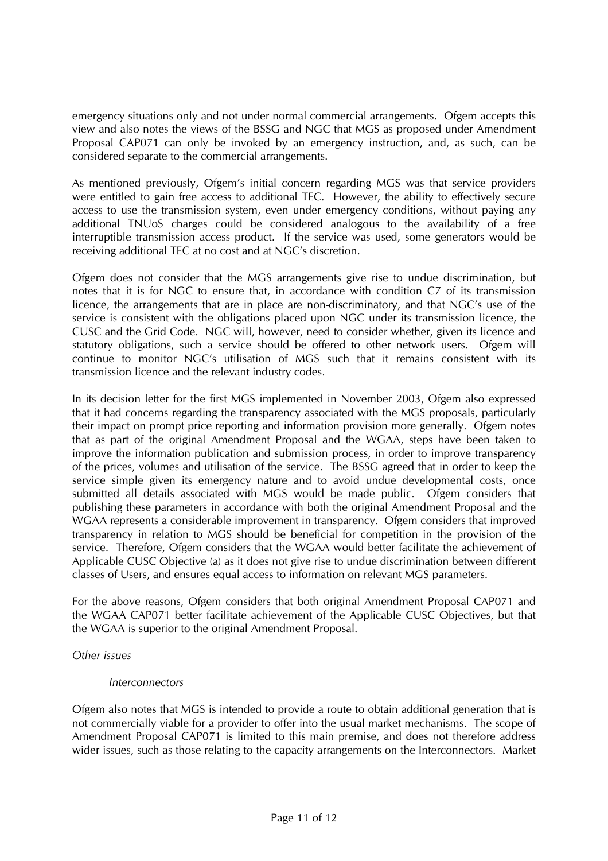emergency situations only and not under normal commercial arrangements. Ofgem accepts this view and also notes the views of the BSSG and NGC that MGS as proposed under Amendment Proposal CAP071 can only be invoked by an emergency instruction, and, as such, can be considered separate to the commercial arrangements.

As mentioned previously, Ofgem's initial concern regarding MGS was that service providers were entitled to gain free access to additional TEC. However, the ability to effectively secure access to use the transmission system, even under emergency conditions, without paying any additional TNUoS charges could be considered analogous to the availability of a free interruptible transmission access product. If the service was used, some generators would be receiving additional TEC at no cost and at NGC's discretion.

Ofgem does not consider that the MGS arrangements give rise to undue discrimination, but notes that it is for NGC to ensure that, in accordance with condition C7 of its transmission licence, the arrangements that are in place are non-discriminatory, and that NGC's use of the service is consistent with the obligations placed upon NGC under its transmission licence, the CUSC and the Grid Code. NGC will, however, need to consider whether, given its licence and statutory obligations, such a service should be offered to other network users. Ofgem will continue to monitor NGC's utilisation of MGS such that it remains consistent with its transmission licence and the relevant industry codes.

In its decision letter for the first MGS implemented in November 2003, Ofgem also expressed that it had concerns regarding the transparency associated with the MGS proposals, particularly their impact on prompt price reporting and information provision more generally. Ofgem notes that as part of the original Amendment Proposal and the WGAA, steps have been taken to improve the information publication and submission process, in order to improve transparency of the prices, volumes and utilisation of the service. The BSSG agreed that in order to keep the service simple given its emergency nature and to avoid undue developmental costs, once submitted all details associated with MGS would be made public. Ofgem considers that publishing these parameters in accordance with both the original Amendment Proposal and the WGAA represents a considerable improvement in transparency. Ofgem considers that improved transparency in relation to MGS should be beneficial for competition in the provision of the service. Therefore, Ofgem considers that the WGAA would better facilitate the achievement of Applicable CUSC Objective (a) as it does not give rise to undue discrimination between different classes of Users, and ensures equal access to information on relevant MGS parameters.

For the above reasons, Ofgem considers that both original Amendment Proposal CAP071 and the WGAA CAP071 better facilitate achievement of the Applicable CUSC Objectives, but that the WGAA is superior to the original Amendment Proposal.

# *Other issues*

# *Interconnectors*

Ofgem also notes that MGS is intended to provide a route to obtain additional generation that is not commercially viable for a provider to offer into the usual market mechanisms. The scope of Amendment Proposal CAP071 is limited to this main premise, and does not therefore address wider issues, such as those relating to the capacity arrangements on the Interconnectors. Market